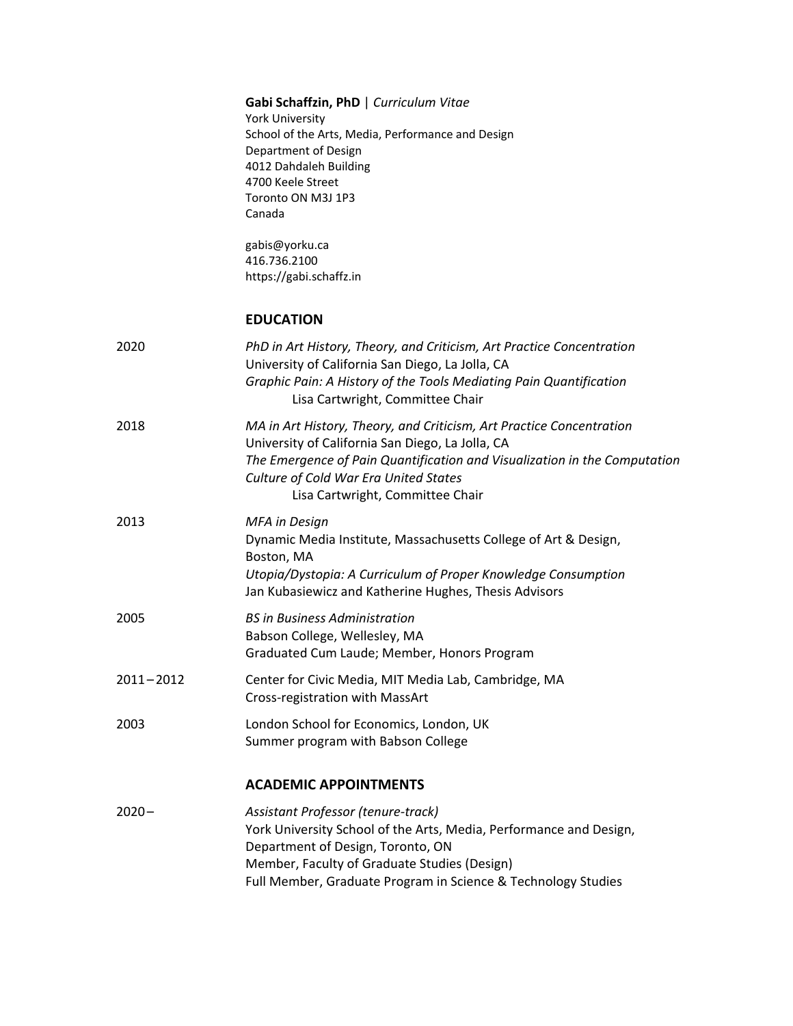|               | Gabi Schaffzin, PhD   Curriculum Vitae<br><b>York University</b><br>School of the Arts, Media, Performance and Design<br>Department of Design<br>4012 Dahdaleh Building<br>4700 Keele Street<br>Toronto ON M3J 1P3<br>Canada<br>gabis@yorku.ca<br>416.736.2100<br>https://gabi.schaffz.in |
|---------------|-------------------------------------------------------------------------------------------------------------------------------------------------------------------------------------------------------------------------------------------------------------------------------------------|
|               | <b>EDUCATION</b>                                                                                                                                                                                                                                                                          |
| 2020          | PhD in Art History, Theory, and Criticism, Art Practice Concentration<br>University of California San Diego, La Jolla, CA<br>Graphic Pain: A History of the Tools Mediating Pain Quantification<br>Lisa Cartwright, Committee Chair                                                       |
| 2018          | MA in Art History, Theory, and Criticism, Art Practice Concentration<br>University of California San Diego, La Jolla, CA<br>The Emergence of Pain Quantification and Visualization in the Computation<br>Culture of Cold War Era United States<br>Lisa Cartwright, Committee Chair        |
| 2013          | <b>MFA</b> in Design<br>Dynamic Media Institute, Massachusetts College of Art & Design,<br>Boston, MA<br>Utopia/Dystopia: A Curriculum of Proper Knowledge Consumption<br>Jan Kubasiewicz and Katherine Hughes, Thesis Advisors                                                           |
| 2005          | <b>BS in Business Administration</b><br>Babson College, Wellesley, MA<br>Graduated Cum Laude; Member, Honors Program                                                                                                                                                                      |
| $2011 - 2012$ | Center for Civic Media, MIT Media Lab, Cambridge, MA<br>Cross-registration with MassArt                                                                                                                                                                                                   |
| 2003          | London School for Economics, London, UK<br>Summer program with Babson College                                                                                                                                                                                                             |
|               | <b>ACADEMIC APPOINTMENTS</b>                                                                                                                                                                                                                                                              |
| $2020 -$      | Assistant Professor (tenure-track)<br>York University School of the Arts, Media, Performance and Design,<br>Department of Design, Toronto, ON<br>Member, Faculty of Graduate Studies (Design)<br>Full Member, Graduate Program in Science & Technology Studies                            |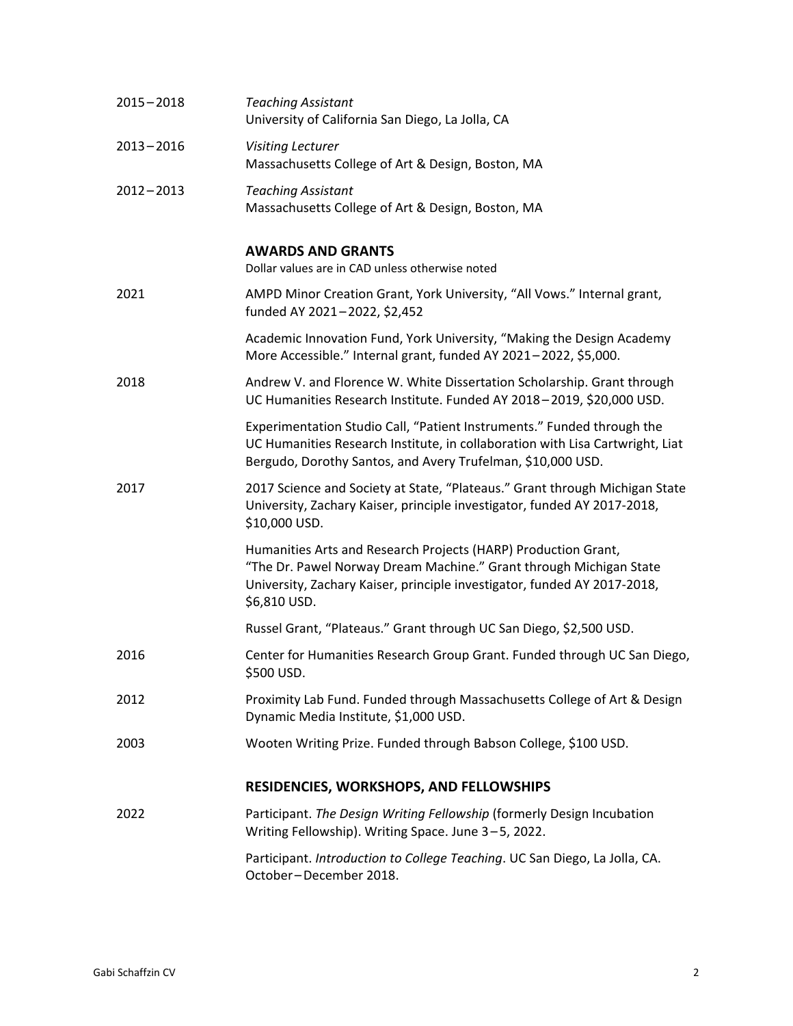| $2015 - 2018$ | <b>Teaching Assistant</b><br>University of California San Diego, La Jolla, CA                                                                                                                                                    |
|---------------|----------------------------------------------------------------------------------------------------------------------------------------------------------------------------------------------------------------------------------|
| $2013 - 2016$ | <b>Visiting Lecturer</b><br>Massachusetts College of Art & Design, Boston, MA                                                                                                                                                    |
| $2012 - 2013$ | <b>Teaching Assistant</b><br>Massachusetts College of Art & Design, Boston, MA                                                                                                                                                   |
|               | <b>AWARDS AND GRANTS</b><br>Dollar values are in CAD unless otherwise noted                                                                                                                                                      |
| 2021          | AMPD Minor Creation Grant, York University, "All Vows." Internal grant,<br>funded AY 2021-2022, \$2,452                                                                                                                          |
|               | Academic Innovation Fund, York University, "Making the Design Academy<br>More Accessible." Internal grant, funded AY 2021-2022, \$5,000.                                                                                         |
| 2018          | Andrew V. and Florence W. White Dissertation Scholarship. Grant through<br>UC Humanities Research Institute. Funded AY 2018-2019, \$20,000 USD.                                                                                  |
|               | Experimentation Studio Call, "Patient Instruments." Funded through the<br>UC Humanities Research Institute, in collaboration with Lisa Cartwright, Liat<br>Bergudo, Dorothy Santos, and Avery Trufelman, \$10,000 USD.           |
| 2017          | 2017 Science and Society at State, "Plateaus." Grant through Michigan State<br>University, Zachary Kaiser, principle investigator, funded AY 2017-2018,<br>\$10,000 USD.                                                         |
|               | Humanities Arts and Research Projects (HARP) Production Grant,<br>"The Dr. Pawel Norway Dream Machine." Grant through Michigan State<br>University, Zachary Kaiser, principle investigator, funded AY 2017-2018,<br>\$6,810 USD. |
|               | Russel Grant, "Plateaus." Grant through UC San Diego, \$2,500 USD.                                                                                                                                                               |
| 2016          | Center for Humanities Research Group Grant. Funded through UC San Diego,<br>\$500 USD.                                                                                                                                           |
| 2012          | Proximity Lab Fund. Funded through Massachusetts College of Art & Design<br>Dynamic Media Institute, \$1,000 USD.                                                                                                                |
| 2003          | Wooten Writing Prize. Funded through Babson College, \$100 USD.                                                                                                                                                                  |
|               | RESIDENCIES, WORKSHOPS, AND FELLOWSHIPS                                                                                                                                                                                          |
| 2022          | Participant. The Design Writing Fellowship (formerly Design Incubation<br>Writing Fellowship). Writing Space. June 3-5, 2022.                                                                                                    |
|               | Participant. Introduction to College Teaching. UC San Diego, La Jolla, CA.<br>October-December 2018.                                                                                                                             |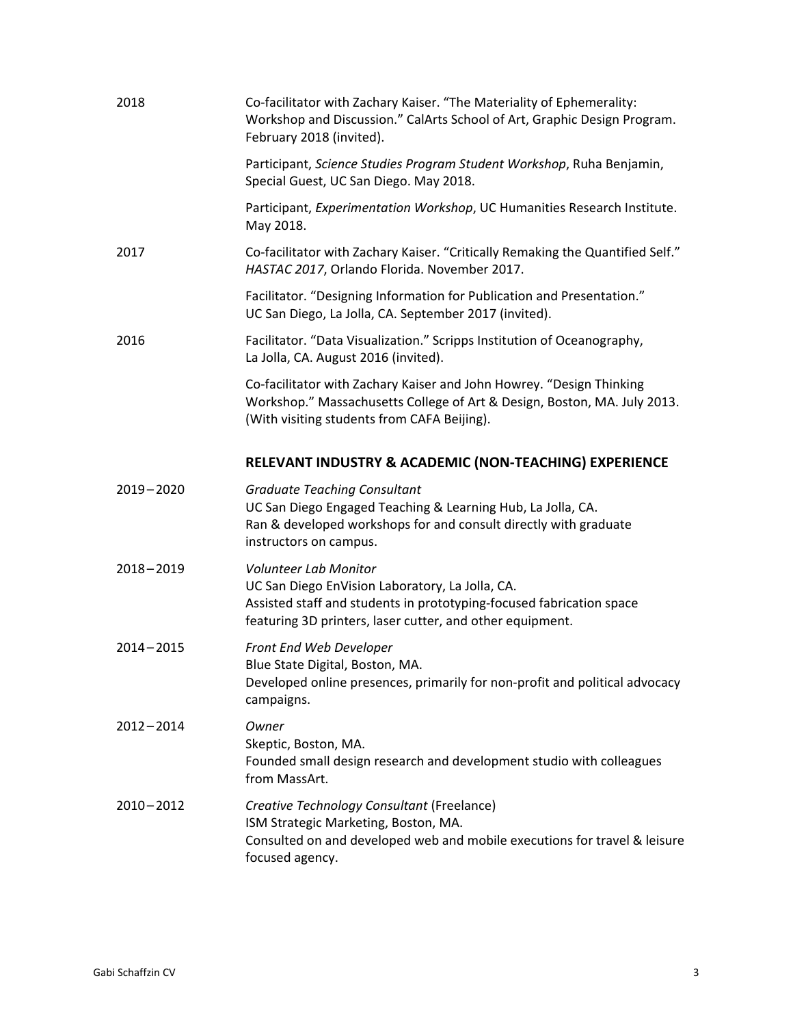| 2018          | Co-facilitator with Zachary Kaiser. "The Materiality of Ephemerality:<br>Workshop and Discussion." CalArts School of Art, Graphic Design Program.<br>February 2018 (invited).                                        |
|---------------|----------------------------------------------------------------------------------------------------------------------------------------------------------------------------------------------------------------------|
|               | Participant, Science Studies Program Student Workshop, Ruha Benjamin,<br>Special Guest, UC San Diego. May 2018.                                                                                                      |
|               | Participant, Experimentation Workshop, UC Humanities Research Institute.<br>May 2018.                                                                                                                                |
| 2017          | Co-facilitator with Zachary Kaiser. "Critically Remaking the Quantified Self."<br>HASTAC 2017, Orlando Florida. November 2017.                                                                                       |
|               | Facilitator. "Designing Information for Publication and Presentation."<br>UC San Diego, La Jolla, CA. September 2017 (invited).                                                                                      |
| 2016          | Facilitator. "Data Visualization." Scripps Institution of Oceanography,<br>La Jolla, CA. August 2016 (invited).                                                                                                      |
|               | Co-facilitator with Zachary Kaiser and John Howrey. "Design Thinking<br>Workshop." Massachusetts College of Art & Design, Boston, MA. July 2013.<br>(With visiting students from CAFA Beijing).                      |
|               | RELEVANT INDUSTRY & ACADEMIC (NON-TEACHING) EXPERIENCE                                                                                                                                                               |
| $2019 - 2020$ | <b>Graduate Teaching Consultant</b><br>UC San Diego Engaged Teaching & Learning Hub, La Jolla, CA.<br>Ran & developed workshops for and consult directly with graduate<br>instructors on campus.                     |
| $2018 - 2019$ | <b>Volunteer Lab Monitor</b><br>UC San Diego EnVision Laboratory, La Jolla, CA.<br>Assisted staff and students in prototyping-focused fabrication space<br>featuring 3D printers, laser cutter, and other equipment. |
| $2014 - 2015$ | Front End Web Developer<br>Blue State Digital, Boston, MA.<br>Developed online presences, primarily for non-profit and political advocacy<br>campaigns.                                                              |
| $2012 - 2014$ | Owner<br>Skeptic, Boston, MA.<br>Founded small design research and development studio with colleagues<br>from MassArt.                                                                                               |
| $2010 - 2012$ | Creative Technology Consultant (Freelance)<br>ISM Strategic Marketing, Boston, MA.<br>Consulted on and developed web and mobile executions for travel & leisure<br>focused agency.                                   |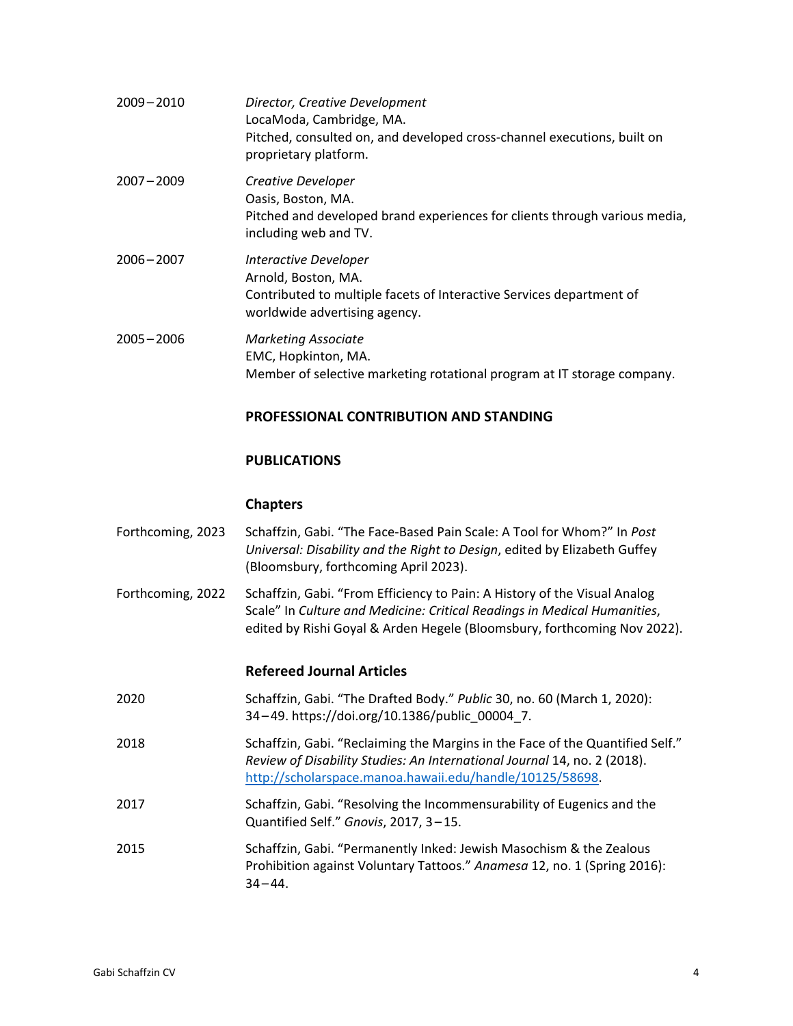| $2009 - 2010$ | Director, Creative Development<br>LocaModa, Cambridge, MA.<br>Pitched, consulted on, and developed cross-channel executions, built on<br>proprietary platform. |
|---------------|----------------------------------------------------------------------------------------------------------------------------------------------------------------|
| $2007 - 2009$ | Creative Developer<br>Oasis, Boston, MA.<br>Pitched and developed brand experiences for clients through various media,<br>including web and TV.                |
| $2006 - 2007$ | Interactive Developer<br>Arnold, Boston, MA.<br>Contributed to multiple facets of Interactive Services department of<br>worldwide advertising agency.          |
| $2005 - 2006$ | <b>Marketing Associate</b><br>EMC, Hopkinton, MA.<br>Member of selective marketing rotational program at IT storage company.                                   |
|               | <b>PROFESSIONAL CONTRIBUTION AND STANDING</b>                                                                                                                  |

## **PUBLICATIONS**

### **Chapters**

| Forthcoming, 2023 | Schaffzin, Gabi. "The Face-Based Pain Scale: A Tool for Whom?" In Post    |
|-------------------|---------------------------------------------------------------------------|
|                   | Universal: Disability and the Right to Design, edited by Elizabeth Guffey |
|                   | (Bloomsbury, forthcoming April 2023).                                     |

Forthcoming, 2022 Schaffzin, Gabi. "From Efficiency to Pain: A History of the Visual Analog Scale" In *Culture and Medicine: Critical Readings in Medical Humanities*, edited by Rishi Goyal & Arden Hegele (Bloomsbury, forthcoming Nov 2022).

## **Refereed Journal Articles**

- 2020 Schaffzin, Gabi. "The Drafted Body." *Public* 30, no. 60 (March 1, 2020): 34 –49. https://doi.org/10.1386/public\_00004\_7.
- 2018 Schaffzin, Gabi. "Reclaiming the Margins in the Face of the Quantified Self." *Review of Disability Studies: An International Journal* 14, no. 2 (2018). [http://scholarspace.manoa.hawaii.edu/handle/10125/58698.](http://scholarspace.manoa.hawaii.edu/handle/10125/58698)
- 2017 Schaffzin, Gabi. "Resolving the Incommensurability of Eugenics and the Quantified Self." *Gnovis*, 2017, 3 –15.
- 2015 Schaffzin, Gabi. "Permanently Inked: Jewish Masochism & the Zealous Prohibition against Voluntary Tattoos." *Anamesa* 12, no. 1 (Spring 2016):  $34 - 44.$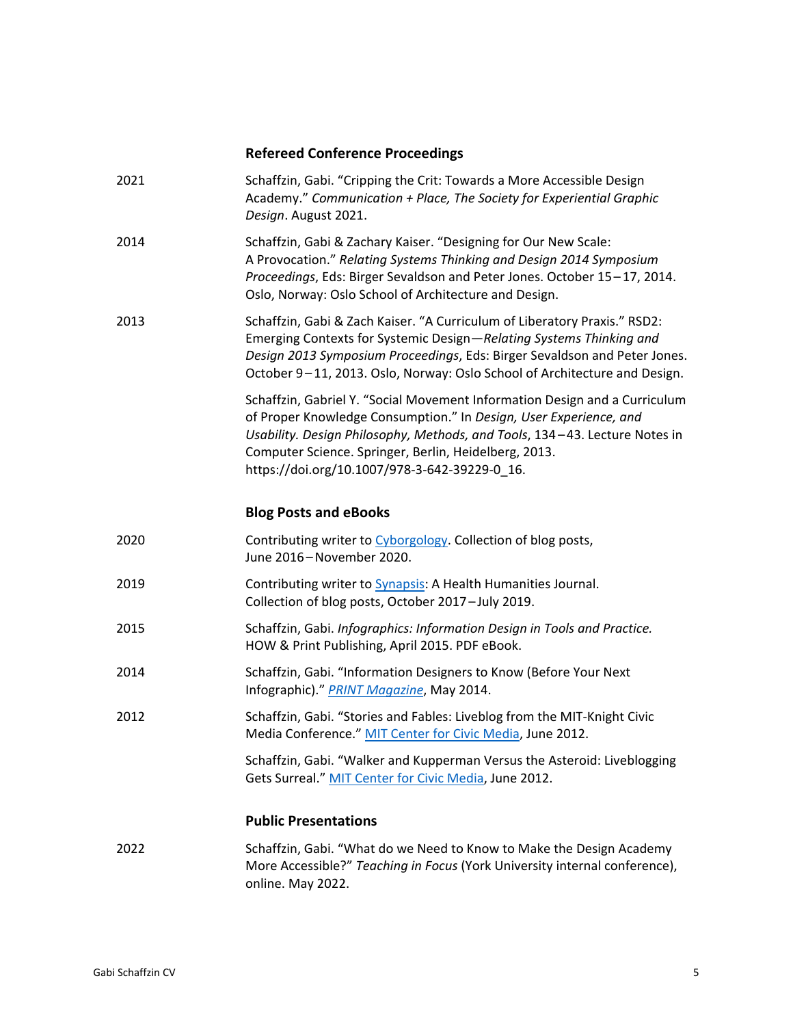## **Refereed Conference Proceedings**

| 2021 | Schaffzin, Gabi. "Cripping the Crit: Towards a More Accessible Design<br>Academy." Communication + Place, The Society for Experiential Graphic<br>Design. August 2021.                                                                                                                                                                  |
|------|-----------------------------------------------------------------------------------------------------------------------------------------------------------------------------------------------------------------------------------------------------------------------------------------------------------------------------------------|
| 2014 | Schaffzin, Gabi & Zachary Kaiser. "Designing for Our New Scale:<br>A Provocation." Relating Systems Thinking and Design 2014 Symposium<br>Proceedings, Eds: Birger Sevaldson and Peter Jones. October 15-17, 2014.<br>Oslo, Norway: Oslo School of Architecture and Design.                                                             |
| 2013 | Schaffzin, Gabi & Zach Kaiser. "A Curriculum of Liberatory Praxis." RSD2:<br>Emerging Contexts for Systemic Design-Relating Systems Thinking and<br>Design 2013 Symposium Proceedings, Eds: Birger Sevaldson and Peter Jones.<br>October 9-11, 2013. Oslo, Norway: Oslo School of Architecture and Design.                              |
|      | Schaffzin, Gabriel Y. "Social Movement Information Design and a Curriculum<br>of Proper Knowledge Consumption." In Design, User Experience, and<br>Usability. Design Philosophy, Methods, and Tools, 134-43. Lecture Notes in<br>Computer Science. Springer, Berlin, Heidelberg, 2013.<br>https://doi.org/10.1007/978-3-642-39229-0_16. |
|      | <b>Blog Posts and eBooks</b>                                                                                                                                                                                                                                                                                                            |
| 2020 | Contributing writer to Cyborgology. Collection of blog posts,<br>June 2016-November 2020.                                                                                                                                                                                                                                               |
| 2019 | Contributing writer to <b>Synapsis:</b> A Health Humanities Journal.<br>Collection of blog posts, October 2017-July 2019.                                                                                                                                                                                                               |
| 2015 | Schaffzin, Gabi. Infographics: Information Design in Tools and Practice.<br>HOW & Print Publishing, April 2015. PDF eBook.                                                                                                                                                                                                              |
| 2014 | Schaffzin, Gabi. "Information Designers to Know (Before Your Next<br>Infographic)." PRINT Magazine, May 2014.                                                                                                                                                                                                                           |
| 2012 | Schaffzin, Gabi. "Stories and Fables: Liveblog from the MIT-Knight Civic<br>Media Conference." MIT Center for Civic Media, June 2012.                                                                                                                                                                                                   |
|      | Schaffzin, Gabi. "Walker and Kupperman Versus the Asteroid: Liveblogging<br>Gets Surreal." MIT Center for Civic Media, June 2012.                                                                                                                                                                                                       |
|      | <b>Public Presentations</b>                                                                                                                                                                                                                                                                                                             |
| 2022 | Schaffzin, Gabi. "What do we Need to Know to Make the Design Academy<br>More Accessible?" Teaching in Focus (York University internal conference),                                                                                                                                                                                      |

online. May 2022.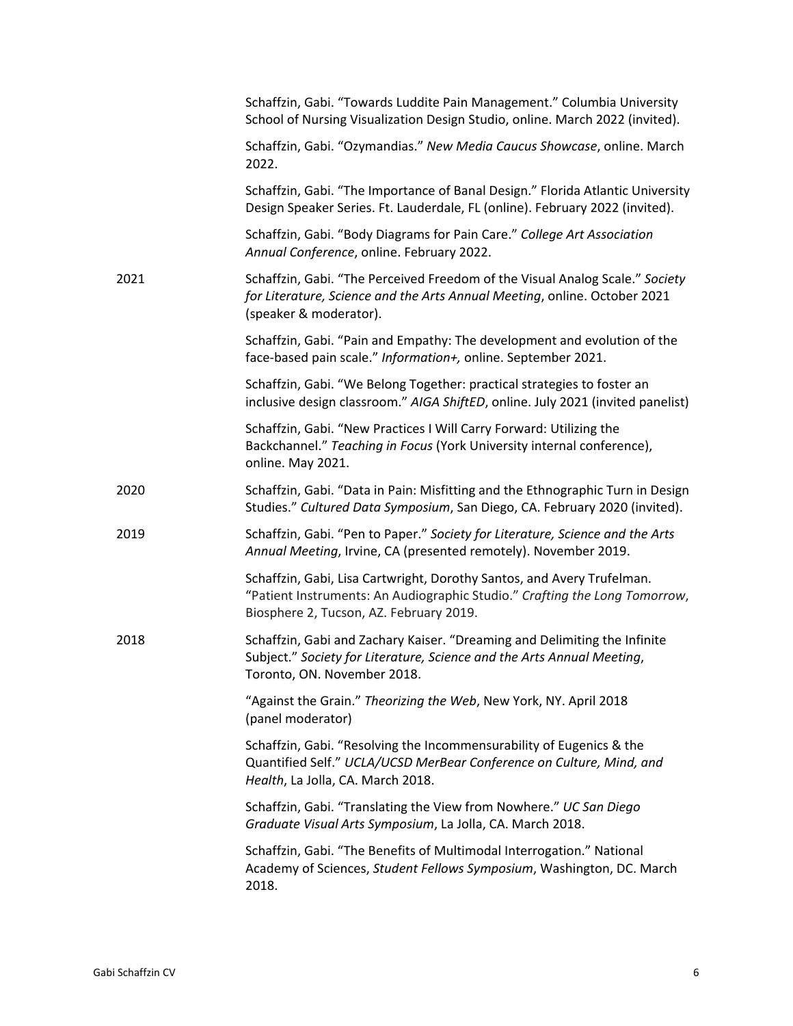|      | Schaffzin, Gabi. "Towards Luddite Pain Management." Columbia University<br>School of Nursing Visualization Design Studio, online. March 2022 (invited).                                         |
|------|-------------------------------------------------------------------------------------------------------------------------------------------------------------------------------------------------|
|      | Schaffzin, Gabi. "Ozymandias." New Media Caucus Showcase, online. March<br>2022.                                                                                                                |
|      | Schaffzin, Gabi. "The Importance of Banal Design." Florida Atlantic University<br>Design Speaker Series. Ft. Lauderdale, FL (online). February 2022 (invited).                                  |
|      | Schaffzin, Gabi. "Body Diagrams for Pain Care." College Art Association<br>Annual Conference, online. February 2022.                                                                            |
| 2021 | Schaffzin, Gabi. "The Perceived Freedom of the Visual Analog Scale." Society<br>for Literature, Science and the Arts Annual Meeting, online. October 2021<br>(speaker & moderator).             |
|      | Schaffzin, Gabi. "Pain and Empathy: The development and evolution of the<br>face-based pain scale." Information+, online. September 2021.                                                       |
|      | Schaffzin, Gabi. "We Belong Together: practical strategies to foster an<br>inclusive design classroom." AIGA ShiftED, online. July 2021 (invited panelist)                                      |
|      | Schaffzin, Gabi. "New Practices I Will Carry Forward: Utilizing the<br>Backchannel." Teaching in Focus (York University internal conference),<br>online. May 2021.                              |
| 2020 | Schaffzin, Gabi. "Data in Pain: Misfitting and the Ethnographic Turn in Design<br>Studies." Cultured Data Symposium, San Diego, CA. February 2020 (invited).                                    |
| 2019 | Schaffzin, Gabi. "Pen to Paper." Society for Literature, Science and the Arts<br>Annual Meeting, Irvine, CA (presented remotely). November 2019.                                                |
|      | Schaffzin, Gabi, Lisa Cartwright, Dorothy Santos, and Avery Trufelman.<br>"Patient Instruments: An Audiographic Studio." Crafting the Long Tomorrow,<br>Biosphere 2, Tucson, AZ. February 2019. |
| 2018 | Schaffzin, Gabi and Zachary Kaiser. "Dreaming and Delimiting the Infinite<br>Subject." Society for Literature, Science and the Arts Annual Meeting,<br>Toronto, ON. November 2018.              |
|      | "Against the Grain." Theorizing the Web, New York, NY. April 2018<br>(panel moderator)                                                                                                          |
|      | Schaffzin, Gabi. "Resolving the Incommensurability of Eugenics & the<br>Quantified Self." UCLA/UCSD MerBear Conference on Culture, Mind, and<br>Health, La Jolla, CA. March 2018.               |
|      | Schaffzin, Gabi. "Translating the View from Nowhere." UC San Diego<br>Graduate Visual Arts Symposium, La Jolla, CA. March 2018.                                                                 |
|      | Schaffzin, Gabi. "The Benefits of Multimodal Interrogation." National<br>Academy of Sciences, Student Fellows Symposium, Washington, DC. March<br>2018.                                         |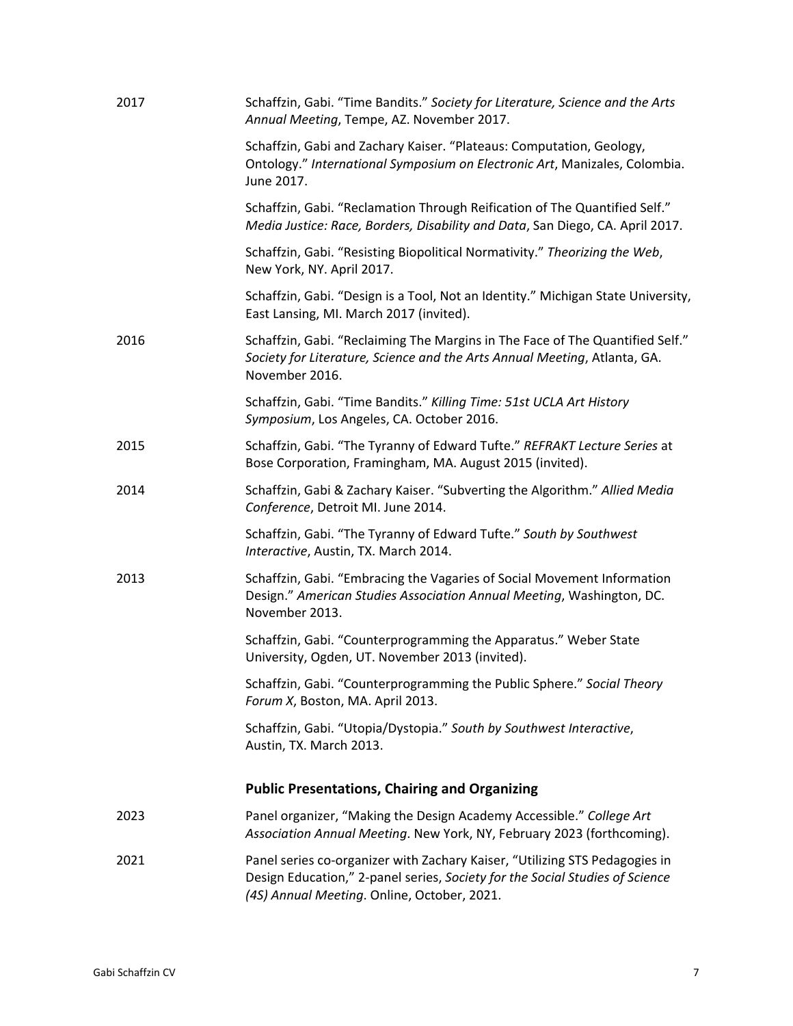| 2017 | Schaffzin, Gabi. "Time Bandits." Society for Literature, Science and the Arts<br>Annual Meeting, Tempe, AZ. November 2017.                                                                                 |
|------|------------------------------------------------------------------------------------------------------------------------------------------------------------------------------------------------------------|
|      | Schaffzin, Gabi and Zachary Kaiser. "Plateaus: Computation, Geology,<br>Ontology." International Symposium on Electronic Art, Manizales, Colombia.<br>June 2017.                                           |
|      | Schaffzin, Gabi. "Reclamation Through Reification of The Quantified Self."<br>Media Justice: Race, Borders, Disability and Data, San Diego, CA. April 2017.                                                |
|      | Schaffzin, Gabi. "Resisting Biopolitical Normativity." Theorizing the Web,<br>New York, NY. April 2017.                                                                                                    |
|      | Schaffzin, Gabi. "Design is a Tool, Not an Identity." Michigan State University,<br>East Lansing, MI. March 2017 (invited).                                                                                |
| 2016 | Schaffzin, Gabi. "Reclaiming The Margins in The Face of The Quantified Self."<br>Society for Literature, Science and the Arts Annual Meeting, Atlanta, GA.<br>November 2016.                               |
|      | Schaffzin, Gabi. "Time Bandits." Killing Time: 51st UCLA Art History<br>Symposium, Los Angeles, CA. October 2016.                                                                                          |
| 2015 | Schaffzin, Gabi. "The Tyranny of Edward Tufte." REFRAKT Lecture Series at<br>Bose Corporation, Framingham, MA. August 2015 (invited).                                                                      |
| 2014 | Schaffzin, Gabi & Zachary Kaiser. "Subverting the Algorithm." Allied Media<br>Conference, Detroit MI. June 2014.                                                                                           |
|      | Schaffzin, Gabi. "The Tyranny of Edward Tufte." South by Southwest<br>Interactive, Austin, TX. March 2014.                                                                                                 |
| 2013 | Schaffzin, Gabi. "Embracing the Vagaries of Social Movement Information<br>Design." American Studies Association Annual Meeting, Washington, DC.<br>November 2013.                                         |
|      | Schaffzin, Gabi. "Counterprogramming the Apparatus." Weber State<br>University, Ogden, UT. November 2013 (invited).                                                                                        |
|      | Schaffzin, Gabi. "Counterprogramming the Public Sphere." Social Theory<br>Forum X, Boston, MA. April 2013.                                                                                                 |
|      | Schaffzin, Gabi. "Utopia/Dystopia." South by Southwest Interactive,<br>Austin, TX. March 2013.                                                                                                             |
|      | <b>Public Presentations, Chairing and Organizing</b>                                                                                                                                                       |
| 2023 | Panel organizer, "Making the Design Academy Accessible." College Art<br>Association Annual Meeting. New York, NY, February 2023 (forthcoming).                                                             |
| 2021 | Panel series co-organizer with Zachary Kaiser, "Utilizing STS Pedagogies in<br>Design Education," 2-panel series, Society for the Social Studies of Science<br>(4S) Annual Meeting. Online, October, 2021. |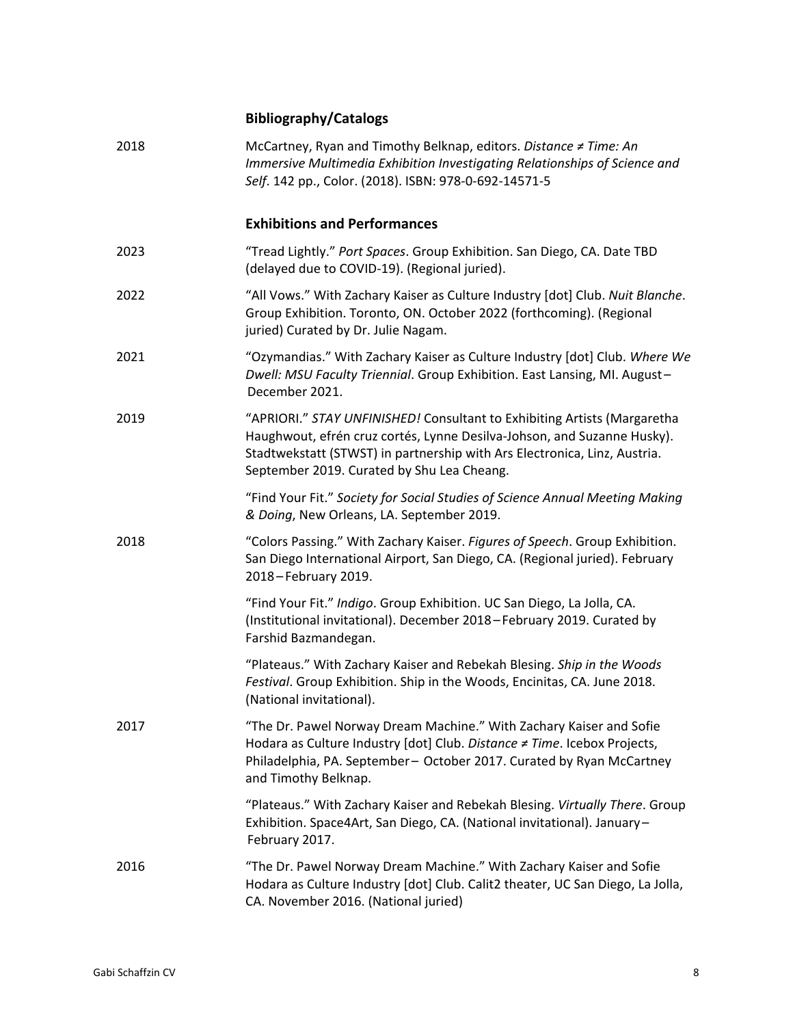# **Bibliography/Catalogs**

| 2018 | McCartney, Ryan and Timothy Belknap, editors. Distance ≠ Time: An<br>Immersive Multimedia Exhibition Investigating Relationships of Science and<br>Self. 142 pp., Color. (2018). ISBN: 978-0-692-14571-5                                                                       |
|------|--------------------------------------------------------------------------------------------------------------------------------------------------------------------------------------------------------------------------------------------------------------------------------|
|      | <b>Exhibitions and Performances</b>                                                                                                                                                                                                                                            |
| 2023 | "Tread Lightly." Port Spaces. Group Exhibition. San Diego, CA. Date TBD<br>(delayed due to COVID-19). (Regional juried).                                                                                                                                                       |
| 2022 | "All Vows." With Zachary Kaiser as Culture Industry [dot] Club. Nuit Blanche.<br>Group Exhibition. Toronto, ON. October 2022 (forthcoming). (Regional<br>juried) Curated by Dr. Julie Nagam.                                                                                   |
| 2021 | "Ozymandias." With Zachary Kaiser as Culture Industry [dot] Club. Where We<br>Dwell: MSU Faculty Triennial. Group Exhibition. East Lansing, MI. August-<br>December 2021.                                                                                                      |
| 2019 | "APRIORI." STAY UNFINISHED! Consultant to Exhibiting Artists (Margaretha<br>Haughwout, efrén cruz cortés, Lynne Desilva-Johson, and Suzanne Husky).<br>Stadtwekstatt (STWST) in partnership with Ars Electronica, Linz, Austria.<br>September 2019. Curated by Shu Lea Cheang. |
|      | "Find Your Fit." Society for Social Studies of Science Annual Meeting Making<br>& Doing, New Orleans, LA. September 2019.                                                                                                                                                      |
| 2018 | "Colors Passing." With Zachary Kaiser. Figures of Speech. Group Exhibition.<br>San Diego International Airport, San Diego, CA. (Regional juried). February<br>2018-February 2019.                                                                                              |
|      | "Find Your Fit." Indigo. Group Exhibition. UC San Diego, La Jolla, CA.<br>(Institutional invitational). December 2018-February 2019. Curated by<br>Farshid Bazmandegan.                                                                                                        |
|      | "Plateaus." With Zachary Kaiser and Rebekah Blesing. Ship in the Woods<br>Festival. Group Exhibition. Ship in the Woods, Encinitas, CA. June 2018.<br>(National invitational).                                                                                                 |
| 2017 | "The Dr. Pawel Norway Dream Machine." With Zachary Kaiser and Sofie<br>Hodara as Culture Industry [dot] Club. Distance ≠ Time. Icebox Projects,<br>Philadelphia, PA. September- October 2017. Curated by Ryan McCartney<br>and Timothy Belknap.                                |
|      | "Plateaus." With Zachary Kaiser and Rebekah Blesing. Virtually There. Group<br>Exhibition. Space4Art, San Diego, CA. (National invitational). January-<br>February 2017.                                                                                                       |
| 2016 | "The Dr. Pawel Norway Dream Machine." With Zachary Kaiser and Sofie<br>Hodara as Culture Industry [dot] Club. Calit2 theater, UC San Diego, La Jolla,<br>CA. November 2016. (National juried)                                                                                  |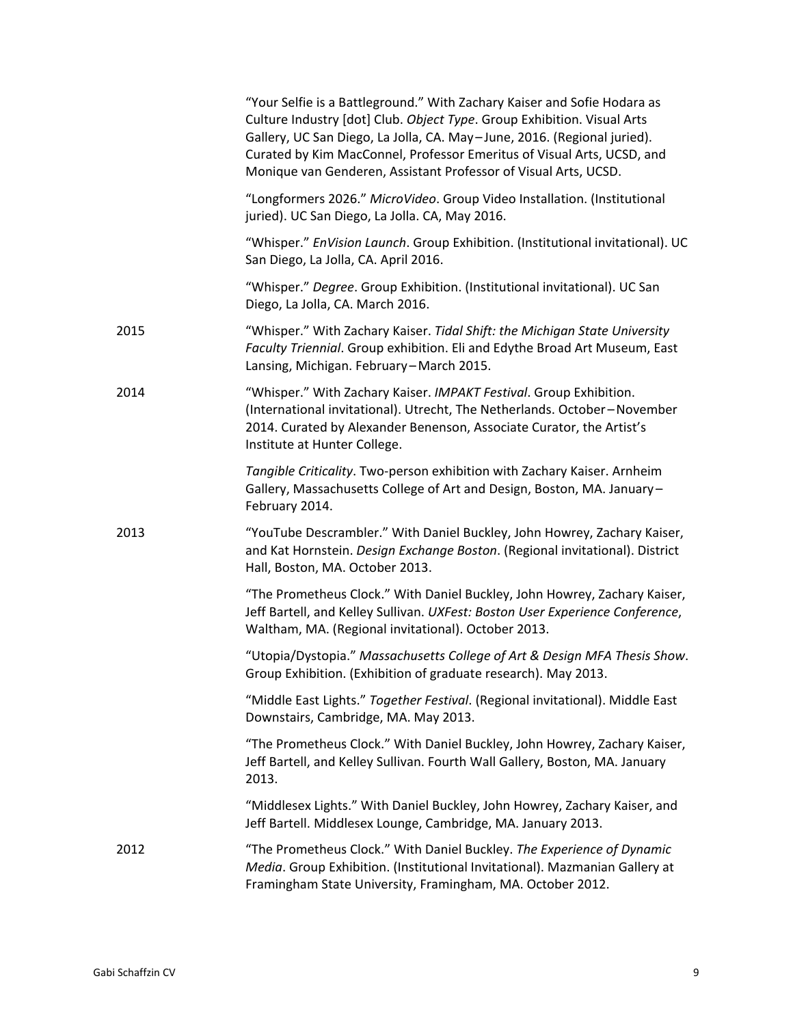|      | "Your Selfie is a Battleground." With Zachary Kaiser and Sofie Hodara as<br>Culture Industry [dot] Club. Object Type. Group Exhibition. Visual Arts<br>Gallery, UC San Diego, La Jolla, CA. May-June, 2016. (Regional juried).<br>Curated by Kim MacConnel, Professor Emeritus of Visual Arts, UCSD, and<br>Monique van Genderen, Assistant Professor of Visual Arts, UCSD. |
|------|-----------------------------------------------------------------------------------------------------------------------------------------------------------------------------------------------------------------------------------------------------------------------------------------------------------------------------------------------------------------------------|
|      | "Longformers 2026." MicroVideo. Group Video Installation. (Institutional<br>juried). UC San Diego, La Jolla. CA, May 2016.                                                                                                                                                                                                                                                  |
|      | "Whisper." EnVision Launch. Group Exhibition. (Institutional invitational). UC<br>San Diego, La Jolla, CA. April 2016.                                                                                                                                                                                                                                                      |
|      | "Whisper." Degree. Group Exhibition. (Institutional invitational). UC San<br>Diego, La Jolla, CA. March 2016.                                                                                                                                                                                                                                                               |
| 2015 | "Whisper." With Zachary Kaiser. Tidal Shift: the Michigan State University<br>Faculty Triennial. Group exhibition. Eli and Edythe Broad Art Museum, East<br>Lansing, Michigan. February-March 2015.                                                                                                                                                                         |
| 2014 | "Whisper." With Zachary Kaiser. IMPAKT Festival. Group Exhibition.<br>(International invitational). Utrecht, The Netherlands. October-November<br>2014. Curated by Alexander Benenson, Associate Curator, the Artist's<br>Institute at Hunter College.                                                                                                                      |
|      | Tangible Criticality. Two-person exhibition with Zachary Kaiser. Arnheim<br>Gallery, Massachusetts College of Art and Design, Boston, MA. January-<br>February 2014.                                                                                                                                                                                                        |
| 2013 | "YouTube Descrambler." With Daniel Buckley, John Howrey, Zachary Kaiser,<br>and Kat Hornstein. Design Exchange Boston. (Regional invitational). District<br>Hall, Boston, MA. October 2013.                                                                                                                                                                                 |
|      | "The Prometheus Clock." With Daniel Buckley, John Howrey, Zachary Kaiser,<br>Jeff Bartell, and Kelley Sullivan. UXFest: Boston User Experience Conference,<br>Waltham, MA. (Regional invitational). October 2013.                                                                                                                                                           |
|      | "Utopia/Dystopia." Massachusetts College of Art & Design MFA Thesis Show.<br>Group Exhibition. (Exhibition of graduate research). May 2013.                                                                                                                                                                                                                                 |
|      | "Middle East Lights." Together Festival. (Regional invitational). Middle East<br>Downstairs, Cambridge, MA. May 2013.                                                                                                                                                                                                                                                       |
|      | "The Prometheus Clock." With Daniel Buckley, John Howrey, Zachary Kaiser,<br>Jeff Bartell, and Kelley Sullivan. Fourth Wall Gallery, Boston, MA. January<br>2013.                                                                                                                                                                                                           |
|      | "Middlesex Lights." With Daniel Buckley, John Howrey, Zachary Kaiser, and<br>Jeff Bartell. Middlesex Lounge, Cambridge, MA. January 2013.                                                                                                                                                                                                                                   |
| 2012 | "The Prometheus Clock." With Daniel Buckley. The Experience of Dynamic<br>Media. Group Exhibition. (Institutional Invitational). Mazmanian Gallery at<br>Framingham State University, Framingham, MA. October 2012.                                                                                                                                                         |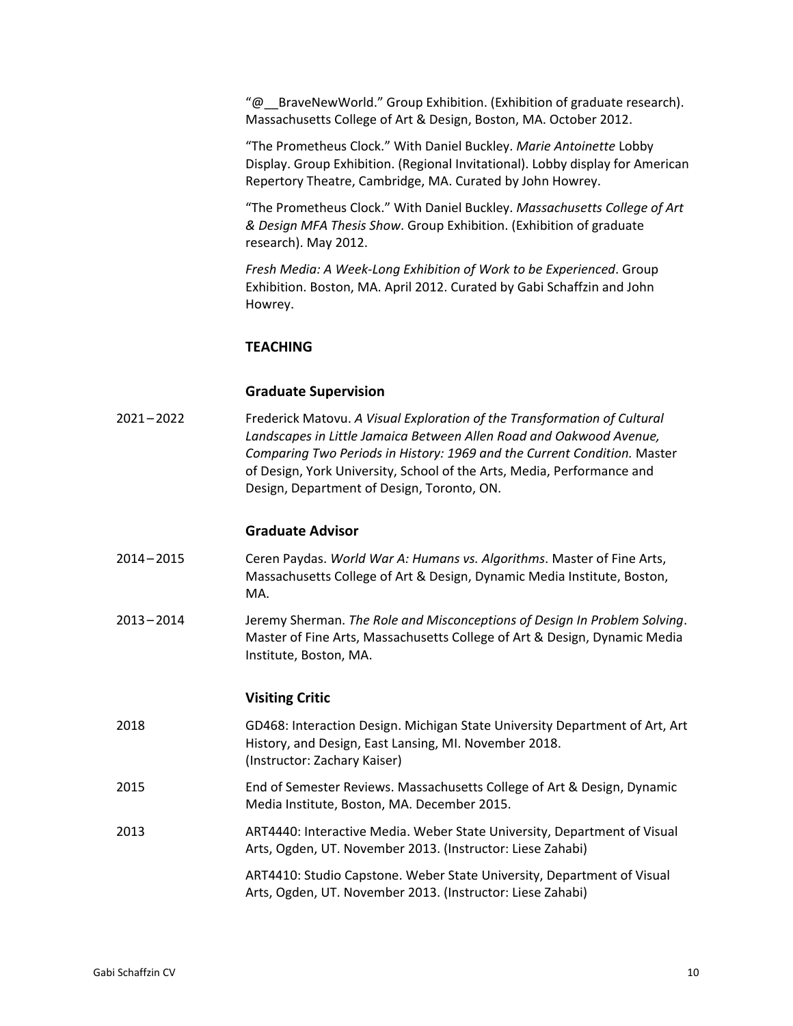"@\_\_BraveNewWorld." Group Exhibition. (Exhibition of graduate research). Massachusetts College of Art & Design, Boston, MA. October 2012.

"The Prometheus Clock." With Daniel Buckley. *Marie Antoinette* Lobby Display. Group Exhibition. (Regional Invitational). Lobby display for American Repertory Theatre, Cambridge, MA. Curated by John Howrey.

"The Prometheus Clock." With Daniel Buckley. *Massachusetts College of Art & Design MFA Thesis Show*. Group Exhibition. (Exhibition of graduate research). May 2012.

*Fresh Media: A Week-Long Exhibition of Work to be Experienced*. Group Exhibition. Boston, MA. April 2012. Curated by Gabi Schaffzin and John Howrey.

#### **TEACHING**

#### **Graduate Supervision**

2021 –2022 Frederick Matovu. *A Visual Exploration of the Transformation of Cultural Landscapes in Little Jamaica Between Allen Road and Oakwood Avenue, Comparing Two Periods in History: 1969 and the Current Condition.* Master of Design, York University, School of the Arts, Media, Performance and Design, Department of Design, Toronto, ON.

#### **Graduate Advisor**

- 2014 –2015 Ceren Paydas. *World War A: Humans vs. Algorithms*. Master of Fine Arts, Massachusetts College of Art & Design, Dynamic Media Institute, Boston, MA.
- 2013 –2014 Jeremy Sherman. *The Role and Misconceptions of Design In Problem Solving*. Master of Fine Arts, Massachusetts College of Art & Design, Dynamic Media Institute, Boston, MA.

#### **Visiting Critic**

- 2018 GD468: Interaction Design. Michigan State University Department of Art, Art History, and Design, East Lansing, MI. November 2018. (Instructor: Zachary Kaiser)
- 2015 End of Semester Reviews. Massachusetts College of Art & Design, Dynamic Media Institute, Boston, MA. December 2015.
- 2013 ART4440: Interactive Media. Weber State University, Department of Visual Arts, Ogden, UT. November 2013. (Instructor: Liese Zahabi)

ART4410: Studio Capstone. Weber State University, Department of Visual Arts, Ogden, UT. November 2013. (Instructor: Liese Zahabi)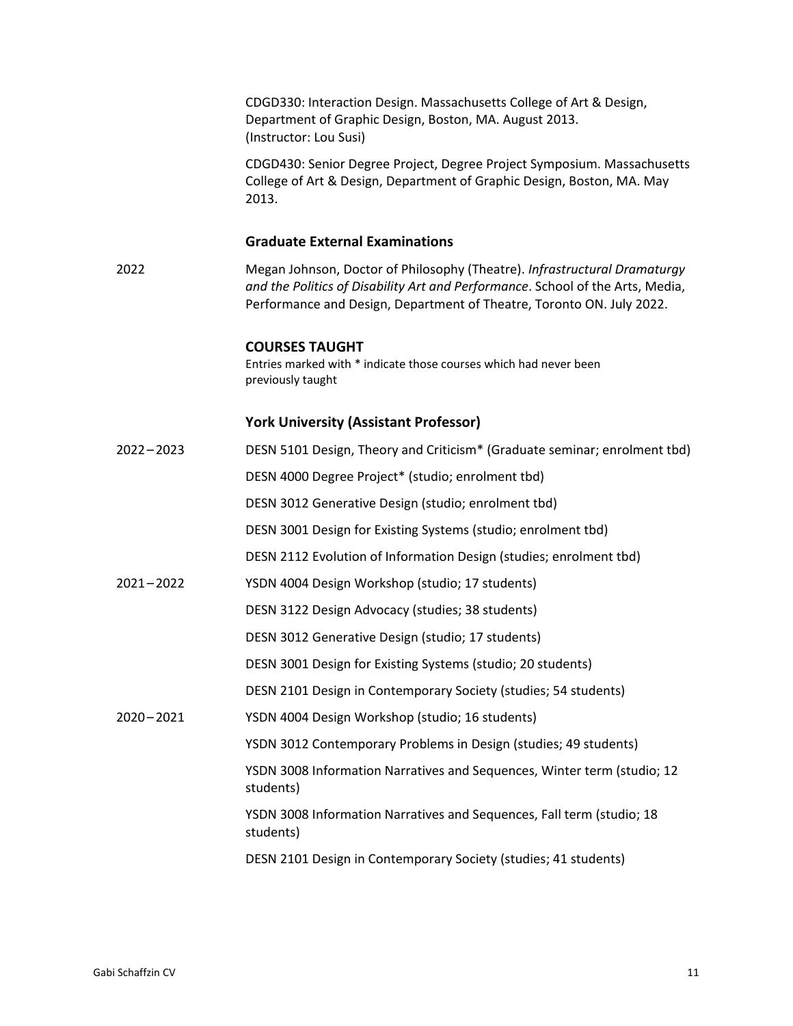CDGD330: Interaction Design. Massachusetts College of Art & Design, Department of Graphic Design, Boston, MA. August 2013. (Instructor: Lou Susi)

CDGD430: Senior Degree Project, Degree Project Symposium. Massachusetts College of Art & Design, Department of Graphic Design, Boston, MA. May 2013.

### **Graduate External Examinations**

2022 Megan Johnson, Doctor of Philosophy (Theatre). *Infrastructural Dramaturgy and the Politics of Disability Art and Performance*. School of the Arts, Media, Performance and Design, Department of Theatre, Toronto ON. July 2022.

#### **COURSES TAUGHT**

Entries marked with \* indicate those courses which had never been previously taught

## **York University (Assistant Professor)**

| $2022 - 2023$ | DESN 5101 Design, Theory and Criticism* (Graduate seminar; enrolment tbd)            |
|---------------|--------------------------------------------------------------------------------------|
|               | DESN 4000 Degree Project* (studio; enrolment tbd)                                    |
|               | DESN 3012 Generative Design (studio; enrolment tbd)                                  |
|               | DESN 3001 Design for Existing Systems (studio; enrolment tbd)                        |
|               | DESN 2112 Evolution of Information Design (studies; enrolment tbd)                   |
| $2021 - 2022$ | YSDN 4004 Design Workshop (studio; 17 students)                                      |
|               | DESN 3122 Design Advocacy (studies; 38 students)                                     |
|               | DESN 3012 Generative Design (studio; 17 students)                                    |
|               | DESN 3001 Design for Existing Systems (studio; 20 students)                          |
|               | DESN 2101 Design in Contemporary Society (studies; 54 students)                      |
| $2020 - 2021$ | YSDN 4004 Design Workshop (studio; 16 students)                                      |
|               | YSDN 3012 Contemporary Problems in Design (studies; 49 students)                     |
|               | YSDN 3008 Information Narratives and Sequences, Winter term (studio; 12<br>students) |
|               | YSDN 3008 Information Narratives and Sequences, Fall term (studio; 18<br>students)   |
|               | DESN 2101 Design in Contemporary Society (studies; 41 students)                      |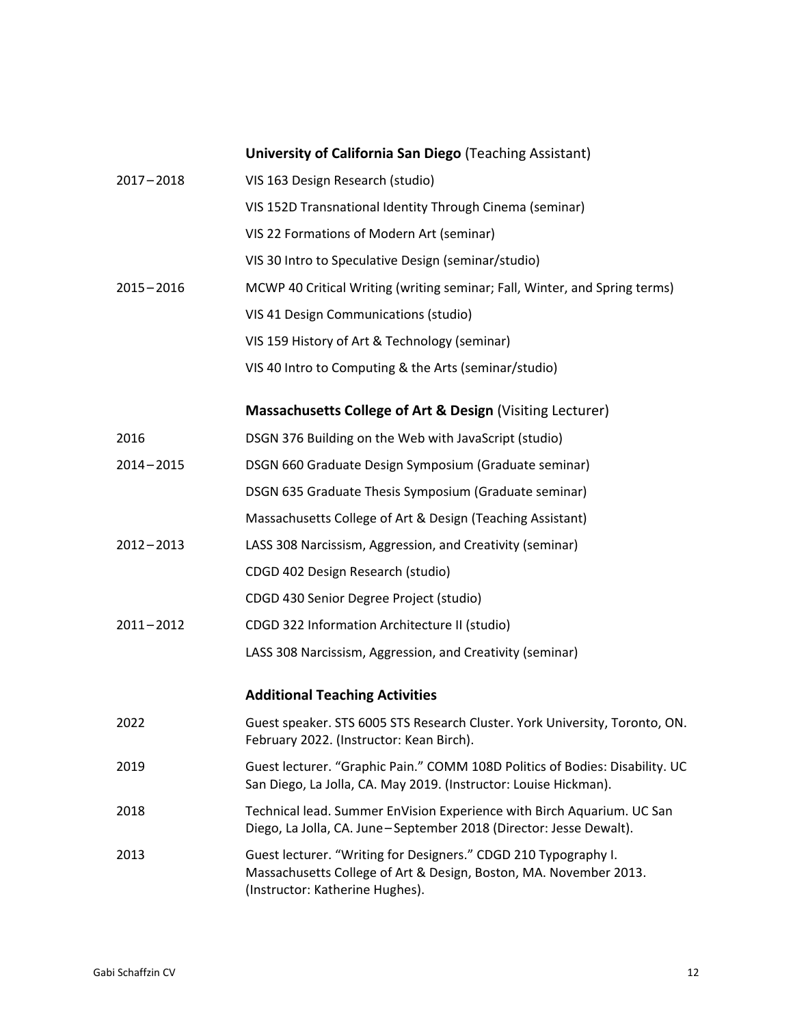## **University of California San Diego** (Teaching Assistant)

| $2017 - 2018$ | VIS 163 Design Research (studio)                                                                                                                                        |
|---------------|-------------------------------------------------------------------------------------------------------------------------------------------------------------------------|
|               | VIS 152D Transnational Identity Through Cinema (seminar)                                                                                                                |
|               | VIS 22 Formations of Modern Art (seminar)                                                                                                                               |
|               | VIS 30 Intro to Speculative Design (seminar/studio)                                                                                                                     |
| $2015 - 2016$ | MCWP 40 Critical Writing (writing seminar; Fall, Winter, and Spring terms)                                                                                              |
|               | VIS 41 Design Communications (studio)                                                                                                                                   |
|               | VIS 159 History of Art & Technology (seminar)                                                                                                                           |
|               | VIS 40 Intro to Computing & the Arts (seminar/studio)                                                                                                                   |
|               | Massachusetts College of Art & Design (Visiting Lecturer)                                                                                                               |
| 2016          | DSGN 376 Building on the Web with JavaScript (studio)                                                                                                                   |
| $2014 - 2015$ | DSGN 660 Graduate Design Symposium (Graduate seminar)                                                                                                                   |
|               | DSGN 635 Graduate Thesis Symposium (Graduate seminar)                                                                                                                   |
|               | Massachusetts College of Art & Design (Teaching Assistant)                                                                                                              |
| $2012 - 2013$ | LASS 308 Narcissism, Aggression, and Creativity (seminar)                                                                                                               |
|               | CDGD 402 Design Research (studio)                                                                                                                                       |
|               | CDGD 430 Senior Degree Project (studio)                                                                                                                                 |
| $2011 - 2012$ | CDGD 322 Information Architecture II (studio)                                                                                                                           |
|               | LASS 308 Narcissism, Aggression, and Creativity (seminar)                                                                                                               |
|               | <b>Additional Teaching Activities</b>                                                                                                                                   |
| 2022          | Guest speaker. STS 6005 STS Research Cluster. York University, Toronto, ON.<br>February 2022. (Instructor: Kean Birch).                                                 |
| 2019          | Guest lecturer. "Graphic Pain." COMM 108D Politics of Bodies: Disability. UC<br>San Diego, La Jolla, CA. May 2019. (Instructor: Louise Hickman).                        |
| 2018          | Technical lead. Summer EnVision Experience with Birch Aquarium. UC San<br>Diego, La Jolla, CA. June-September 2018 (Director: Jesse Dewalt).                            |
| 2013          | Guest lecturer. "Writing for Designers." CDGD 210 Typography I.<br>Massachusetts College of Art & Design, Boston, MA. November 2013.<br>(Instructor: Katherine Hughes). |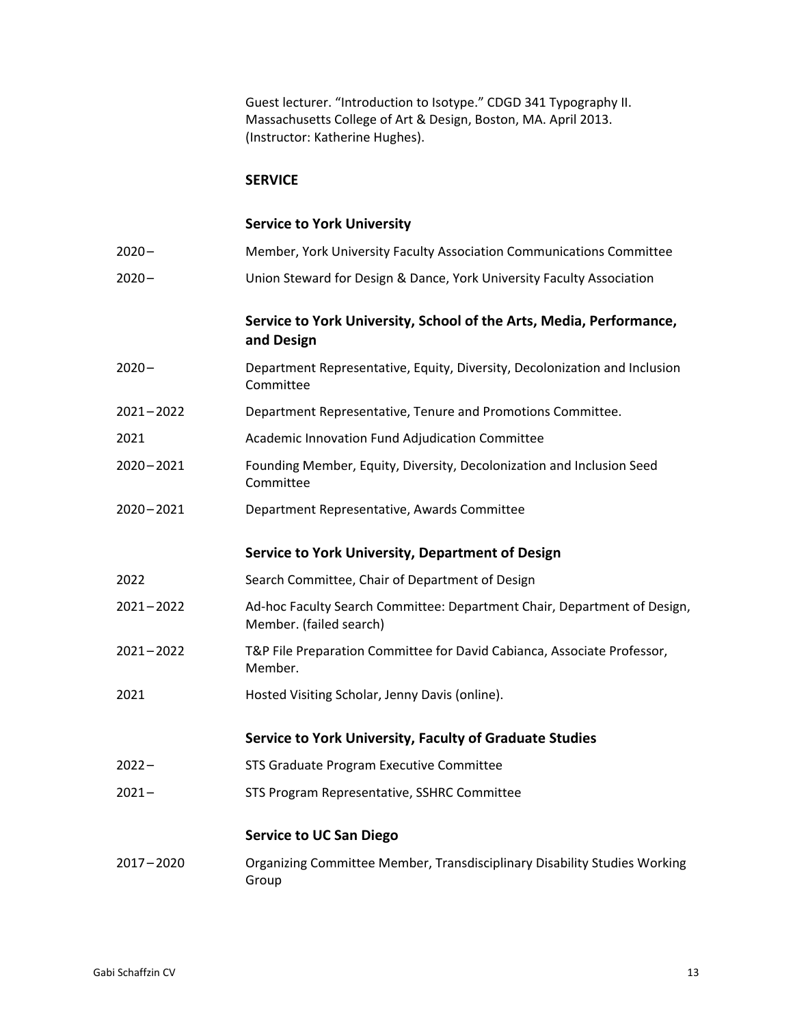Guest lecturer. "Introduction to Isotype." CDGD 341 Typography II. Massachusetts College of Art & Design, Boston, MA. April 2013. (Instructor: Katherine Hughes).

#### **SERVICE**

## **Service to York University**

2020 – Union Steward for Design & Dance, York University Faculty Association

## **Service to York University, School of the Arts, Media, Performance, and Design**

- 2020 Department Representative, Equity, Diversity, Decolonization and Inclusion Committee
- 2021 –2022 Department Representative, Tenure and Promotions Committee.
- 2021 Academic Innovation Fund Adjudication Committee
- 2020 –2021 Founding Member, Equity, Diversity, Decolonization and Inclusion Seed Committee
- 2020 –2021 Department Representative, Awards Committee

#### **Service to York University, Department of Design**

- 2022 Search Committee, Chair of Department of Design
- 2021 –2022 Ad-hoc Faculty Search Committee: Department Chair, Department of Design, Member. (failed search)
- 2021 –2022 T&P File Preparation Committee for David Cabianca, Associate Professor, Member.
- 2021 Hosted Visiting Scholar, Jenny Davis (online).

#### **Service to York University, Faculty of Graduate Studies**

- 2022 STS Graduate Program Executive Committee
- 2021 STS Program Representative, SSHRC Committee

#### **Service to UC San Diego**

2017 –2020 Organizing Committee Member, Transdisciplinary Disability Studies Working Group